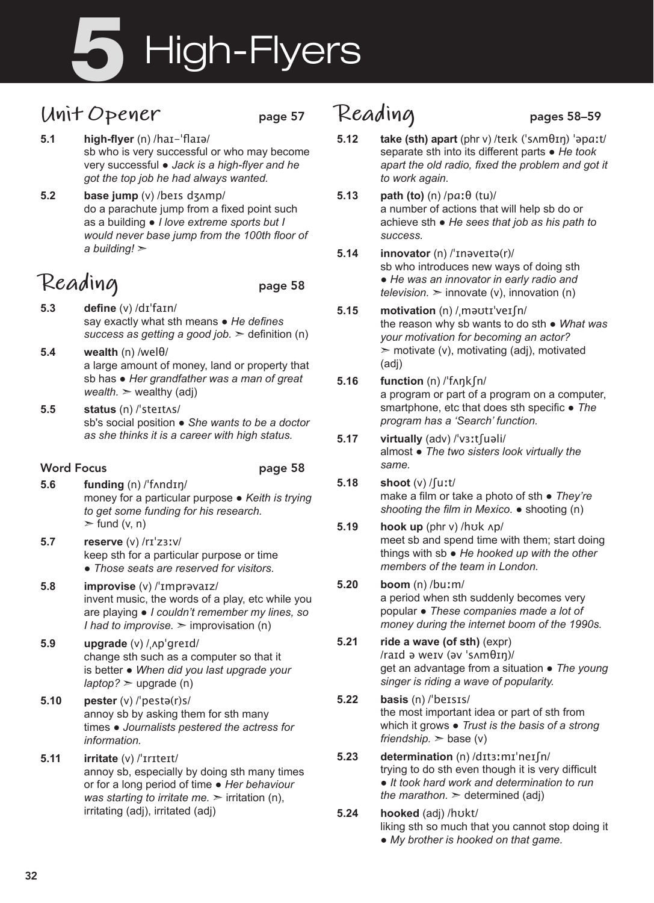# High-Flyers

## **Unit Opener** page 57

- **5.1 high-flyer** (n) /haɪ-ˈflaɪə/ sb who is very successful or who may become very successful ● *Jack is a high-flyer and he got the top job he had always wanted.*
- **5.2 base jump** (v) /beɪs dʒʌmp/ do a parachute jump from a fixed point such as a building ● *I love extreme sports but I would never base jump from the 100th floor of a building!* ➣

# Reading page 58

- **5.3 define** (v) /dɪˈfaɪn/ say exactly what sth means ● *He defines success as getting a good job.* ➣ definition (n)
- **5.4 wealth** (n) /welθ/ a large amount of money, land or property that sb has ● *Her grandfather was a man of great wealth.* ➣ wealthy (adj)
- **5.5 status** (n) /ˈsteɪtʌs/ sb's social position ● *She wants to be a doctor as she thinks it is a career with high status.*

#### Word Focus **page 58 5.6 funding** (n) /ˈfʌndɪŋ/ money for a particular purpose ● *Keith is trying to get some funding for his research.*   $\triangleright$  fund (v, n)

- **5.7 reserve** (v) /rɪˈzɜːv/ keep sth for a particular purpose or time ● *Those seats are reserved for visitors.*
- **5.8 improvise** (v) /ˈɪmprəvaɪz/ invent music, the words of a play, etc while you are playing ● *I couldn't remember my lines, so I had to improvise.*  $\geq$  improvisation (n)
- **5.9 upgrade** (v) /ˌʌpˈɡreɪd/ change sth such as a computer so that it is better ● *When did you last upgrade your*   $l$ *aptop*?  $>$  upgrade (n)
- **5.10 pester** (v) /ˈpestə(r)s/ annoy sb by asking them for sth many times ● *Journalists pestered the actress for information.*
- **5.11 irritate** (v) /ˈɪrɪteɪt/ annoy sb, especially by doing sth many times or for a long period of time ● *Her behaviour was starting to irritate me.*  $\geq$  irritation (n), irritating (adj), irritated (adj)

## Reading pages 58-59

- **5.12 take (sth) apart** (phr v) /teɪk (ˈsʌmθɪŋ) ˈəpɑːt/ separate sth into its different parts ● *He took apart the old radio, fixed the problem and got it to work again.*
- **5.13 path (to)** (n) /pɑːθ (tu)/ a number of actions that will help sb do or achieve sth ● *He sees that job as his path to success.*
- **5.14 innovator** (n) /ˈɪnəveɪtə(r)/ sb who introduces new ways of doing sth ● *He was an innovator in early radio and television.*  $\geq$  innovate (y), innovation (n)
- **5.15 motivation** (n) /ˌməʊtɪˈveɪʃn/ the reason why sb wants to do sth ● *What was your motivation for becoming an actor?*   $\geq$  motivate (v), motivating (adj), motivated (adj)
- **5.16 function** (n) /ˈfʌŋkʃn/ a program or part of a program on a computer, smartphone, etc that does sth specific ● *The program has a 'Search' function.*
- **5.17 virtually** (adv) /ˈvɜːtʃuəli/ almost ● *The two sisters look virtually the same.*
- **5.18 shoot** (v) /ʃuːt/ make a film or take a photo of sth ● *They're shooting the film in Mexico.* ● shooting (n)
- **5.19 hook up** (phr v) /hʊk ʌp/ meet sb and spend time with them; start doing things with sb ● *He hooked up with the other members of the team in London.*

#### **5.20 boom** (n) /buːm/ a period when sth suddenly becomes very popular ● *These companies made a lot of money during the internet boom of the 1990s.*

- **5.21 ride a wave (of sth)** (expr) /raɪd ə weɪv (əv ˈsʌmθɪŋ)/ get an advantage from a situation ● *The young singer is riding a wave of popularity.*
- **5.22 basis** (n) /ˈbeɪsɪs/ the most important idea or part of sth from which it grows ● *Trust is the basis of a strong friendship.*  $>$  base (v)
- **5.23 determination** (n) /dɪtɜːmɪˈneɪʃn/ trying to do sth even though it is very difficult ● *It took hard work and determination to run the marathon.*  $\geq$  determined (adj)
- **5.24 hooked** (adj) /hʊkt/ liking sth so much that you cannot stop doing it ● *My brother is hooked on that game.*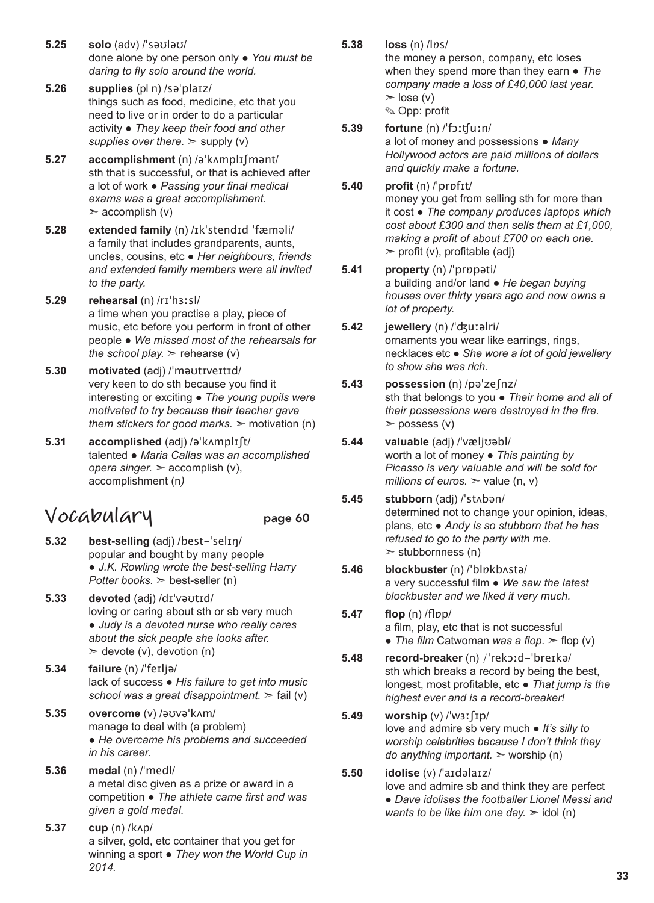- **5.25 solo** (adv) /ˈsəʊləʊ/ done alone by one person only ● *You must be daring to fly solo around the world.*
- **5.26 supplies** (pl n) /səˈplaɪz/ things such as food, medicine, etc that you need to live or in order to do a particular activity ● *They keep their food and other*  supplies over there.  $>$  supply (v)
- **5.27 accomplishment** (n) /əˈkʌmplɪʃmənt/ sth that is successful, or that is achieved after a lot of work ● *Passing your final medical exams was a great accomplishment.*   $\geq$  accomplish (v)
- **5.28 extended family** (n) /ɪkˈstendɪd ˈfæməli/ a family that includes grandparents, aunts, uncles, cousins, etc ● *Her neighbours, friends and extended family members were all invited to the party.*
- **5.29 rehearsal** (n) /rɪˈhɜːsl/ a time when you practise a play, piece of music, etc before you perform in front of other people ● *We missed most of the rehearsals for the school play.*  $>$  rehearse (v)
- **5.30 motivated** (adj) /ˈməʊtɪveɪtɪd/ very keen to do sth because you find it interesting or exciting ● *The young pupils were motivated to try because their teacher gave them stickers for good marks.*  $\geq$  motivation (n)
- **5.31 accomplished** (adj) /əˈkʌmplɪʃt/ talented ● *Maria Callas was an accomplished opera singer.* ➣ accomplish (v), accomplishment (n*)*

#### **Vocabulary** page 60

- 
- **5.32 best-selling** (adj) /best-ˈselɪŋ/ popular and bought by many people ● *J.K. Rowling wrote the best-selling Harry Potter books.* ➣ best-seller (n)
- **5.33 devoted** (adj) /dɪˈvəʊtɪd/ loving or caring about sth or sb very much ● *Judy is a devoted nurse who really cares about the sick people she looks after.*   $\geq$  devote (v), devotion (n)
- **5.34 failure** (n) /ˈfeɪljə/ lack of success ● *His failure to get into music school was a great disappointment.* ➣ fail (v)
- **5.35 overcome** (v) /əʊvəˈkʌm/ manage to deal with (a problem) ● *He overcame his problems and succeeded in his career.*
- **5.36 medal** (n) /ˈmedl/ a metal disc given as a prize or award in a competition ● *The athlete came first and was given a gold medal.*
- **5.37 cup** (n) /kʌp/ a silver, gold, etc container that you get for winning a sport ● *They won the World Cup in 2014.*

**5.38 loss** (n) /lɒs/

the money a person, company, etc loses when they spend more than they earn ● *The company made a loss of £40,000 last year.*  $\ge$  lose (v)

✎ Opp: profit

- **5.39 fortune** (n) /ˈfɔːʧuːn/ a lot of money and possessions ● *Many Hollywood actors are paid millions of dollars and quickly make a fortune.*
- **5.40 profit** (n) /ˈprɒfɪt/ money you get from selling sth for more than it cost ● *The company produces laptops which cost about £300 and then sells them at £1,000, making a profit of about £700 on each one.*   $\triangleright$  profit (v), profitable (adj)
- **5.41 property** (n) /ˈprɒpəti/ a building and/or land ● *He began buying houses over thirty years ago and now owns a lot of property.*
- **5.42 jewellery** (n) /ˈʤuːəlri/ ornaments you wear like earrings, rings, necklaces etc ● *She wore a lot of gold jewellery to show she was rich.*
- **5.43 possession** (n) /pəˈzeʃnz/ sth that belongs to you ● *Their home and all of their possessions were destroyed in the fire.*   $>$  possess (v)
- **5.44 valuable** (adj) /ˈvæljʊəbl/ worth a lot of money ● *This painting by Picasso is very valuable and will be sold for millions of euros.*  $\geq$  value (n, v)
- **5.45 stubborn** (adj) /ˈstʌbən/ determined not to change your opinion, ideas, plans, etc ● *Andy is so stubborn that he has refused to go to the party with me.*   $\ge$  stubbornness (n)
- **5.46 blockbuster** (n) /ˈblɒkbʌstə/ a very successful film ● *We saw the latest blockbuster and we liked it very much.*
- **5.47 flop** (n) /flɒp/ a film, play, etc that is not successful ● *The film* Catwoman *was a flop.* ➣ flop (v)
- **5.48 record-breaker** (n) /ˈrekɔːd-ˈbreɪkə/ sth which breaks a record by being the best, longest, most profitable, etc ● *That jump is the highest ever and is a record-breaker!*
- **5.49 worship** (v) /ˈwɜːʃɪp/ love and admire sb very much ● *It's silly to worship celebrities because I don't think they do anything important.* ➣ worship (n)

#### **5.50 idolise** (v) /ˈaɪdəlaɪz/ love and admire sb and think they are perfect ● *Dave idolises the footballer Lionel Messi and wants to be like him one day.*  $\geq$  idol (n)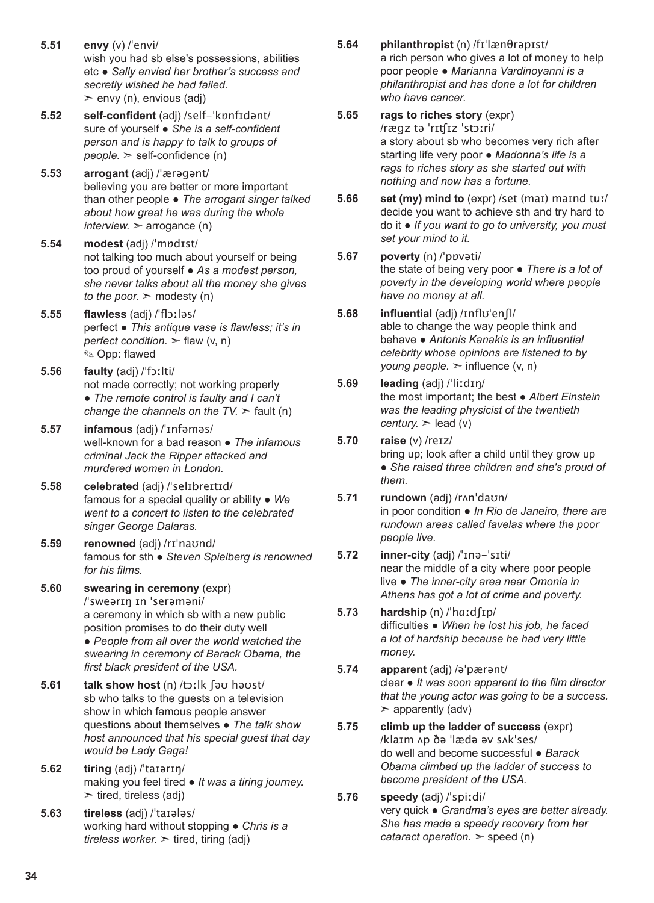- **5.51 envy** (v) /ˈenvi/ wish you had sb else's possessions, abilities etc ● *Sally envied her brother's success and secretly wished he had failed.*   $\geq$  envy (n), envious (adj)
- **5.52 self-confident** (adj) /self-ˈkɒnfɪdənt/ sure of yourself ● *She is a self-confident person and is happy to talk to groups of people.* ➣ self-confidence (n)
- **5.53 arrogant** (adj) /ˈærəgənt/ believing you are better or more important than other people ● *The arrogant singer talked about how great he was during the whole*   $interview.$   $\ge$  arrogance (n)
- **5.54 modest** (adj) /ˈmɒdɪst/ not talking too much about yourself or being too proud of yourself ● *As a modest person, she never talks about all the money she gives to the poor.*  $\geq$  modesty (n)
- **5.55 flawless** (adj) /ˈflɔːləs/ perfect ● *This antique vase is flawless; it's in perfect condition.* ➣ flaw (v, n) ✎ Opp: flawed
- **5.56 faulty** (adj) /ˈfɔːlti/ not made correctly; not working properly ● *The remote control is faulty and I can't change the channels on the TV.*  $>$  fault (n)
- **5.57 infamous** (adj) /ˈɪnfəməs/ well-known for a bad reason ● *The infamous criminal Jack the Ripper attacked and murdered women in London.*
- **5.58 celebrated** (adj) /ˈselɪbreɪtɪd/ famous for a special quality or ability ● *We went to a concert to listen to the celebrated singer George Dalaras.*
- **5.59 renowned** (adj) /rɪˈnaʊnd/ famous for sth ● *Steven Spielberg is renowned for his films.*
- **5.60 swearing in ceremony** (expr) /ˈsweərɪŋ ɪn ˈserəməni/ a ceremony in which sb with a new public position promises to do their duty well ● *People from all over the world watched the swearing in ceremony of Barack Obama, the first black president of the USA.*
- **5.61 talk show host** (n) /tɔːlk ʃəʊ həʊst/ sb who talks to the guests on a television show in which famous people answer questions about themselves ● *The talk show host announced that his special guest that day would be Lady Gaga!*
- **5.62 tiring** (adj) /ˈtaɪərɪŋ/ making you feel tired ● *It was a tiring journey.*   $\ge$  tired, tireless (adj)
- **5.63 tireless** (adj) /ˈtaɪələs/ working hard without stopping ● *Chris is a tireless worker.* ➣ tired, tiring (adj)
- **5.64 philanthropist** (n) /fɪˈlænθrəpɪst/ a rich person who gives a lot of money to help poor people ● *Marianna Vardinoyanni is a philanthropist and has done a lot for children who have cancer.*
- **5.65 rags to riches story** (expr) /rægz tə ˈrɪʧɪz ˈstɔːri/ a story about sb who becomes very rich after starting life very poor ● *Madonna's life is a rags to riches story as she started out with nothing and now has a fortune.*
- **5.66 set (my) mind to** (expr) /set (maɪ) maɪnd tuː/ decide you want to achieve sth and try hard to do it ● *If you want to go to university, you must set your mind to it.*
- **5.67 poverty** (n) /ˈpɒvəti/ the state of being very poor ● *There is a lot of poverty in the developing world where people have no money at all.*
- **5.68 influential** (adj) /ɪnflʊˈenʃl/ able to change the way people think and behave ● *Antonis Kanakis is an influential celebrity whose opinions are listened to by young people.*  $\geq$  influence (v, n)
- **5.69 leading** (adj) /ˈliːdɪŋ/ the most important; the best ● *Albert Einstein was the leading physicist of the twentieth century.*  $>$  lead (v)
- **5.70 raise** (v) /reɪz/ bring up; look after a child until they grow up ● *She raised three children and she's proud of them.*
- **5.71 rundown** (adj) /rʌnˈdaʊn/ in poor condition ● *In Rio de Janeiro, there are rundown areas called favelas where the poor people live.*
- **5.72 inner-city** (adj) /ˈɪnə-ˈsɪti/ near the middle of a city where poor people live ● *The inner-city area near Omonia in Athens has got a lot of crime and poverty.*
- **5.73 hardship** (n) /ˈhɑːdʃɪp/ difficulties ● *When he lost his job, he faced a lot of hardship because he had very little money.*
- **5.74 apparent** (adj) /əˈpærənt/ clear ● *It was soon apparent to the film director that the young actor was going to be a success.*   $\geq$  apparently (adv)
- **5.75 climb up the ladder of success** (expr) /klaɪm ʌp ðə ˈlædə əv sʌkˈses/ do well and become successful ● *Barack Obama climbed up the ladder of success to become president of the USA.*
- **5.76 speedy** (adj) /ˈspiːdi/ very quick ● *Grandma's eyes are better already. She has made a speedy recovery from her cataract operation.* ➣ speed (n)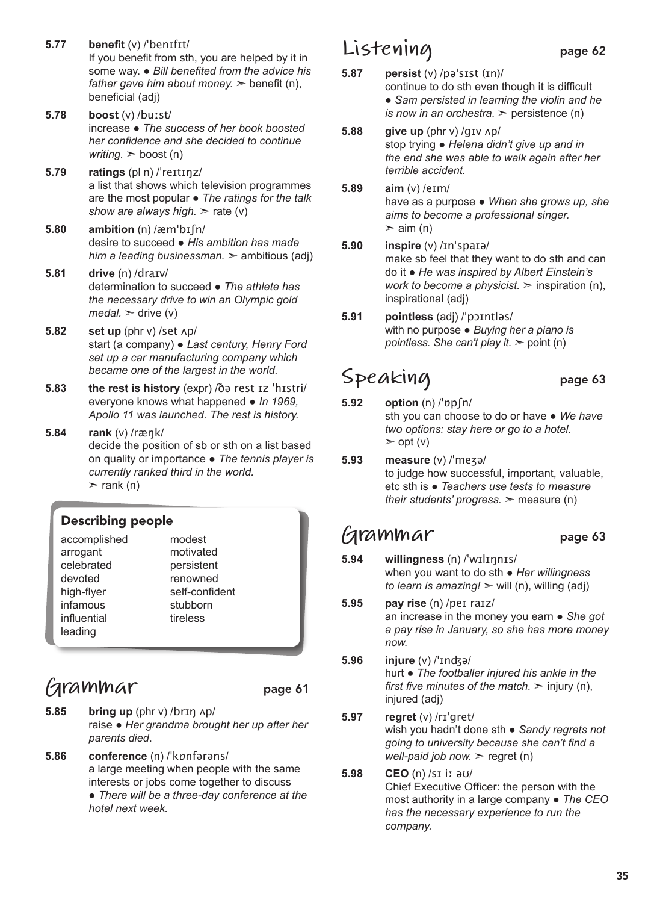- **5.77 benefit** (v) /ˈbenɪfɪt/ If you benefit from sth, you are helped by it in some way. ● *Bill benefited from the advice his father gave him about money.*  $\geq$  benefit (n), beneficial (adj)
- **5.78 boost** (v) /buːst/ increase ● *The success of her book boosted her confidence and she decided to continue writing.* ➣ boost (n)
- **5.79 ratings** (pl n) /ˈreɪtɪŋz/ a list that shows which television programmes are the most popular ● *The ratings for the talk show are always high.* ➣ rate (v)
- **5.80 ambition** (n) /æmˈbɪʃn/ desire to succeed ● *His ambition has made him a leading businessman.* ➣ ambitious (adj)
- **5.81 drive** (n) /draɪv/ determination to succeed ● *The athlete has the necessary drive to win an Olympic gold*   $\textit{median}$   $\geq$  drive (v)
- **5.82 set up** (phr v) /set ʌp/ start (a company) ● *Last century, Henry Ford set up a car manufacturing company which became one of the largest in the world.*
- **5.83 the rest is history** (expr) /ðə rest ɪz ˈhɪstri/ everyone knows what happened ● *In 1969, Apollo 11 was launched. The rest is history.*
- **5.84 rank** (v) /ræŋk/ decide the position of sb or sth on a list based on quality or importance ● *The tennis player is currently ranked third in the world.*   $\ge$  rank (n)

#### Describing people

## **Grammar** page 61

- **5.85 bring up** (phr v) /brɪŋ ʌp/ raise ● *Her grandma brought her up after her parents died*.
- **5.86 conference** (n) /ˈkɒnfərəns/ a large meeting when people with the same interests or jobs come together to discuss ● *There will be a three-day conference at the hotel next week.*

### **Listening** page 62

- **5.87 persist** (v) /pəˈsɪst (ɪn)/ continue to do sth even though it is difficult ● *Sam persisted in learning the violin and he is now in an orchestra.*  $\geq$  persistence (n)
- **5.88 give up** (phr v) /gɪv ʌp/ stop trying ● *Helena didn't give up and in the end she was able to walk again after her terrible accident.*
- **5.89 aim** (v) /eɪm/ have as a purpose ● *When she grows up, she aims to become a professional singer.*   $>$  aim (n)
- **5.90 inspire** (v) /ɪnˈspaɪə/ make sb feel that they want to do sth and can do it ● *He was inspired by Albert Einstein's work to become a physicist.*  $\geq$  inspiration (n), inspirational (adj)
- **5.91 pointless** (adj) /ˈpɔɪntləs/ with no purpose ● *Buying her a piano is pointless. She can't play it.* ➣ point (n)

# Speaking page 63

- **5.92 option** (n) /ˈɒpʃn/ sth you can choose to do or have ● *We have two options: stay here or go to a hotel.*  $\geq$  opt (v)
- **5.93 measure** (v) /ˈmeʒə/ to judge how successful, important, valuable, etc sth is ● *Teachers use tests to measure their students' progress.* ➣ measure (n)

#### **Grammar** page 63

- **5.94 willingness** (n) /ˈwɪlɪŋnɪs/
	- when you want to do sth *Her willingness to learn is amazing!*  $>$  will (n), willing (adj)
- **5.95 pay rise** (n) /peɪ raɪz/ an increase in the money you earn ● *She got a pay rise in January, so she has more money now.*
- **5.96 injure** (v) /ˈɪnʤə/ hurt ● *The footballer injured his ankle in the first five minutes of the match.*  $\geq$  injury (n), injured (adj)
- **5.97 regret** (v) /rɪˈgret/ wish you hadn't done sth ● *Sandy regrets not going to university because she can't find a well-paid job now.* > regret (n)
- **5.98 CEO** (n) /sɪ iː əʊ/ Chief Executive Officer: the person with the most authority in a large company ● *The CEO has the necessary experience to run the company.*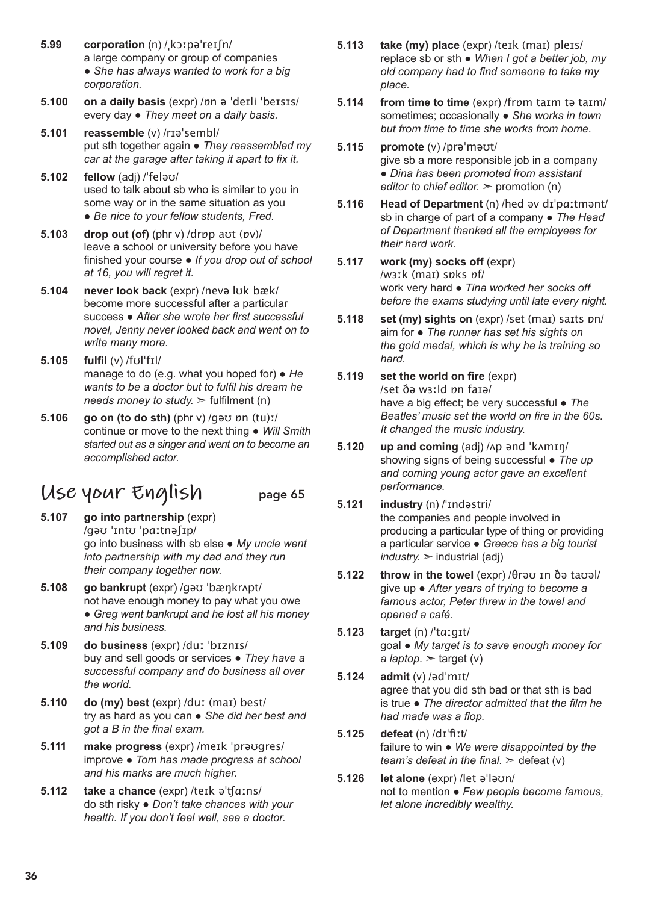- **5.99 corporation** (n) /ˌkɔːpəˈreɪʃn/ a large company or group of companies ● *She has always wanted to work for a big corporation.*
- **5.100 on a daily basis** (expr) /ɒn ə ˈdeɪli ˈbeɪsɪs/ every day ● *They meet on a daily basis.*
- **5.101 reassemble** (v) /rɪəˈsembl/ put sth together again ● *They reassembled my car at the garage after taking it apart to fix it.*
- **5.102 fellow** (adj) /ˈfeləʊ/ used to talk about sb who is similar to you in some way or in the same situation as you ● *Be nice to your fellow students, Fred.*
- **5.103 drop out (of)** (phr v) /drɒp aʊt (ɒv)/ leave a school or university before you have finished your course ● *If you drop out of school at 16, you will regret it.*
- **5.104 never look back** (expr) /nevə lʊk bæk/ become more successful after a particular success ● *After she wrote her first successful novel, Jenny never looked back and went on to write many more.*
- **5.105 fulfil** (v) /fʊlˈfɪl/ manage to do (e.g. what you hoped for) ● *He wants to be a doctor but to fulfil his dream he needs money to study.* ➣ fulfilment (n)
- **5.106 go on (to do sth)** (phr v) /gəʊ ɒn (tu)ː/ continue or move to the next thing ● *Will Smith started out as a singer and went on to become an accomplished actor.*

## **Use your English** page 65

- **5.107 go into partnership** (expr) /gəʊ ˈɪntʊ ˈpɑːtnəʃɪp/ go into business with sb else ● *My uncle went into partnership with my dad and they run their company together now.*
- **5.108 go bankrupt** (expr) /gəʊ ˈbæŋkrʌpt/ not have enough money to pay what you owe ● *Greg went bankrupt and he lost all his money and his business.*
- **5.109 do business** (expr) /duː ˈbɪznɪs/ buy and sell goods or services ● *They have a successful company and do business all over the world.*
- **5.110 do (my) best** (expr) /duː (maɪ) best/ try as hard as you can ● *She did her best and got a B in the final exam.*
- **5.111 make progress** (expr) /meɪk ˈprəʊgres/ improve ● *Tom has made progress at school and his marks are much higher.*
- **5.112 take a chance** (expr) /teɪk əˈʧɑːns/ do sth risky ● *Don't take chances with your health. If you don't feel well, see a doctor.*
- **5.113 take (my) place** (expr) /teɪk (maɪ) pleɪs/ replace sb or sth ● *When I got a better job, my old company had to find someone to take my place.*
- **5.114 from time to time** (expr) /frɒm taɪm tə taɪm/ sometimes; occasionally ● *She works in town but from time to time she works from home.*
- **5.115 promote** (v) /prəˈməʊt/ give sb a more responsible job in a company ● *Dina has been promoted from assistant editor to chief editor.* ➣ promotion (n)
- **5.116 Head of Department** (n) /hed əv dɪˈpɑːtmənt/ sb in charge of part of a company ● *The Head of Department thanked all the employees for their hard work.*
- **5.117 work (my) socks off** (expr) /wɜːk (maɪ) sɒks ɒf/ work very hard ● *Tina worked her socks off before the exams studying until late every night.*
- **5.118 set (my) sights on** (expr) /set (maɪ) saɪts ɒn/ aim for ● *The runner has set his sights on the gold medal, which is why he is training so hard.*
- **5.119 set the world on fire** (expr) /set ðə wɜːld ɒn faɪə/ have a big effect; be very successful ● *The Beatles' music set the world on fire in the 60s. It changed the music industry.*
- **5.120 up and coming** (adj) /ʌp ənd ˈkʌmɪŋ/ showing signs of being successful ● *The up and coming young actor gave an excellent performance.*
- **5.121 industry** (n) /ˈɪndəstri/ the companies and people involved in producing a particular type of thing or providing a particular service ● *Greece has a big tourist*   $industry.$   $\geq$  industrial (adj)
- **5.122 throw in the towel** (expr) /θrəʊ ɪn ðə taʊəl/ give up ● *After years of trying to become a famous actor, Peter threw in the towel and opened a café.*
- **5.123 target** (n) /ˈtɑːgɪt/ goal ● *My target is to save enough money for*   $a$  *laptop.*  $\geq$  target (v)
- **5.124 admit** (v) /ədˈmɪt/ agree that you did sth bad or that sth is bad is true ● *The director admitted that the film he had made was a flop.*
- **5.125 defeat** (n) /dɪˈfiːt/ failure to win ● *We were disappointed by the team's defeat in the final.*  $\geq$  defeat (v)
- **5.126 let alone** (expr) /let əˈləʊn/ not to mention ● *Few people become famous, let alone incredibly wealthy.*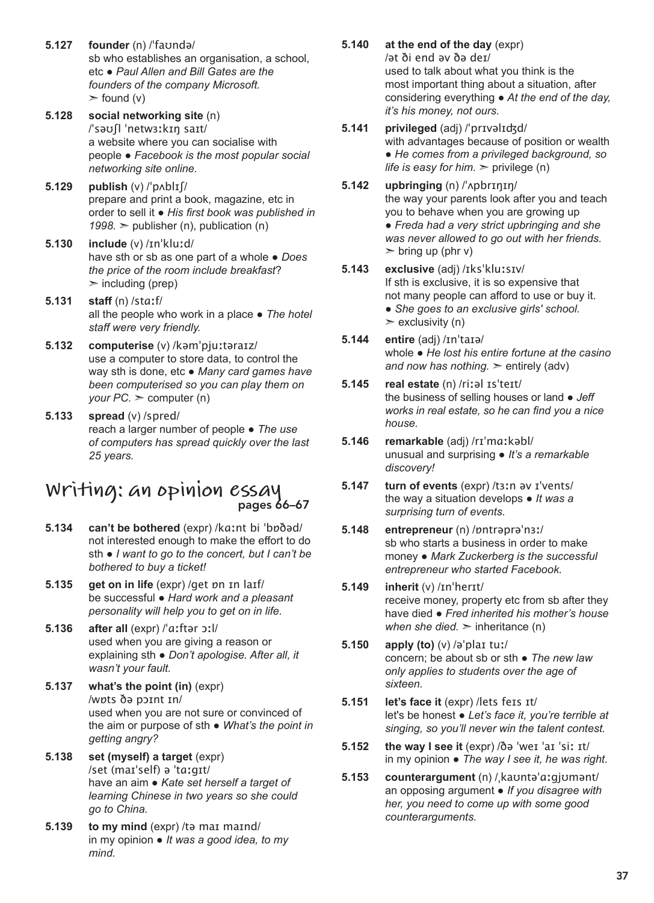- **5.127 founder** (n) /ˈfaʊndə/ sb who establishes an organisation, a school, etc ● *Paul Allen and Bill Gates are the founders of the company Microsoft.*   $\ge$  found (v)
- **5.128 social networking site** (n) /ˈsəʊʃl ˈnetwɜːkɪŋ saɪt/ a website where you can socialise with people ● *Facebook is the most popular social networking site online.*
- **5.129 publish** (v) /ˈpʌblɪʃ/ prepare and print a book, magazine, etc in order to sell it ● *His first book was published in*   $1998.$   $\geq$  publisher (n), publication (n)
- **5.130 include** (v) /ɪnˈkluːd/ have sth or sb as one part of a whole ● *Does the price of the room include breakfast*?  $\geq$  including (prep)
- **5.131 staff** (n) /stɑːf/ all the people who work in a place ● *The hotel staff were very friendly.*
- **5.132 computerise** (v) /kəmˈpjuːtəraɪz/ use a computer to store data, to control the way sth is done, etc ● *Many card games have been computerised so you can play them on your PC.* ➣ computer (n)
- **5.133 spread** (v) /spred/ reach a larger number of people ● *The use of computers has spread quickly over the last 25 years.*

#### **Writing: an opinion essay** pages 66–67

- **5.134 can't be bothered** (expr) /kɑːnt bi ˈbɒðəd/ not interested enough to make the effort to do sth ● *I want to go to the concert, but I can't be bothered to buy a ticket!*
- **5.135 get on in life** (expr) /get ɒn ɪn laɪf/ be successful ● *Hard work and a pleasant personality will help you to get on in life.*
- **5.136 after all** (expr) /ˈɑːftər ɔːl/ used when you are giving a reason or explaining sth ● *Don't apologise. After all, it wasn't your fault.*
- **5.137 what's the point (in)** (expr) /wɒts ðə pɔɪnt ɪn/ used when you are not sure or convinced of the aim or purpose of sth ● *What's the point in getting angry?*
- **5.138 set (myself) a target** (expr) /set (maɪˈself) ə ˈtɑːgɪt/ have an aim ● *Kate set herself a target of learning Chinese in two years so she could go to China.*
- **5.139 to my mind** (expr) /tə maɪ maɪnd/ in my opinion ● *It was a good idea, to my mind.*
- **5.140 at the end of the day** (expr) /ət ði end əv ðə deɪ/ used to talk about what you think is the most important thing about a situation, after considering everything ● *At the end of the day, it's his money, not ours.*
- **5.141 privileged** (adj) /ˈprɪvəlɪʤd/ with advantages because of position or wealth ● *He comes from a privileged background, so life is easy for him.*  $\ge$  privilege (n)
- **5.142 upbringing** (n) /ˈʌpbrɪŋɪŋ/ the way your parents look after you and teach you to behave when you are growing up ● *Freda had a very strict upbringing and she was never allowed to go out with her friends.*  $\triangleright$  bring up (phr v)
- **5.143 exclusive** (adj) /ɪksˈkluːsɪv/ If sth is exclusive, it is so expensive that not many people can afford to use or buy it. ● *She goes to an exclusive girls' school.*  $\ge$  exclusivity (n)
- **5.144 entire** (adj) /ɪnˈtaɪə/ whole ● *He lost his entire fortune at the casino and now has nothing.* ➣ entirely (adv)
- **5.145 real estate** (n) /riːəl ɪsˈteɪt/ the business of selling houses or land ● *Jeff works in real estate, so he can find you a nice house.*
- **5.146 remarkable** (adj) /rɪˈmɑːkəbl/ unusual and surprising ● *It's a remarkable discovery!*
- **5.147 turn of events** (expr) /tɜːn əv ɪˈvents/ the way a situation develops ● *It was a surprising turn of events.*
- **5.148 entrepreneur** (n) /ɒntrəprəˈnɜː/ sb who starts a business in order to make money ● *Mark Zuckerberg is the successful entrepreneur who started Facebook.*
- **5.149 inherit** (v) /ɪnˈherɪt/ receive money, property etc from sb after they have died ● *Fred inherited his mother's house when she died.*  $>$  inheritance (n)
- **5.150 apply (to)** (v) /əˈplaɪ tuː/ concern; be about sb or sth ● *The new law only applies to students over the age of sixteen.*
- **5.151 let's face it** (expr) /lets feɪs ɪt/ let's be honest ● *Let's face it, you're terrible at singing, so you'll never win the talent contest.*
- **5.152 the way I see it** (expr) /ðə ˈweɪ ˈaɪ ˈsiː ɪt/ in my opinion ● *The way I see it, he was right.*
- **5.153 counterargument** (n) /ˌkaʊntəˈɑːgjʊmənt/ an opposing argument ● *If you disagree with her, you need to come up with some good counterarguments.*